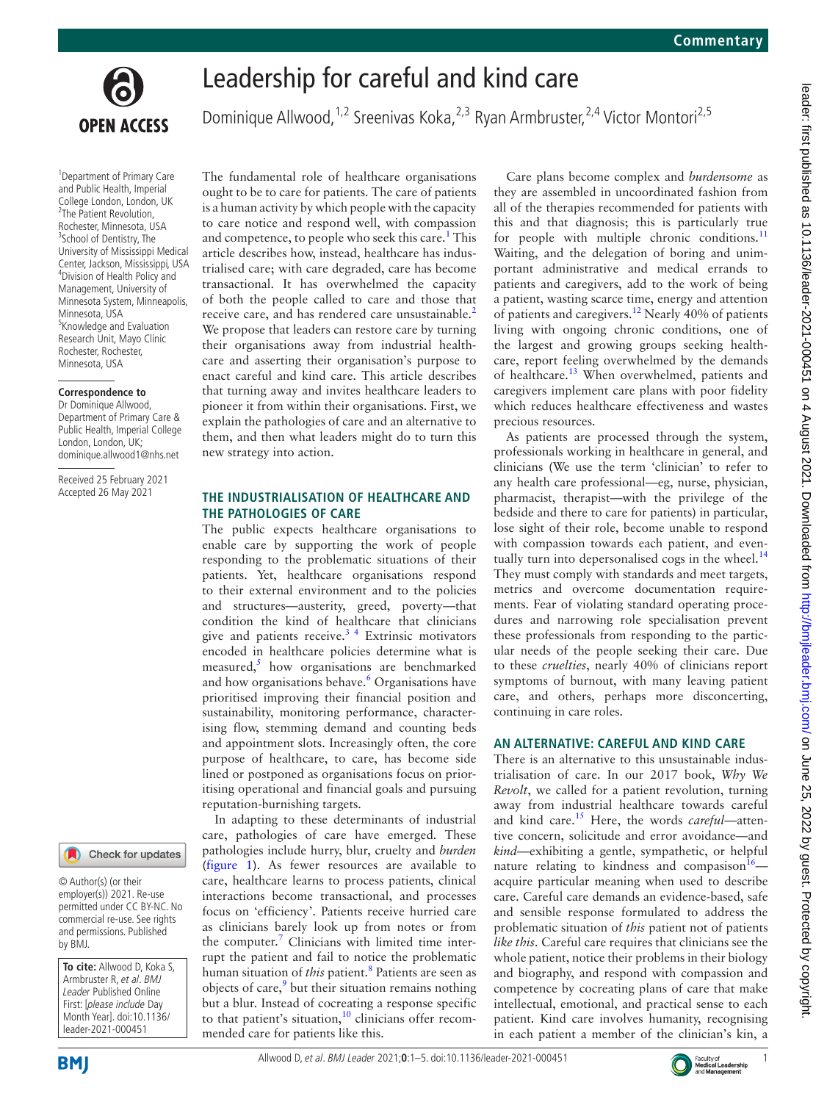

# Leadership for careful and kind care

Dominique Allwood,<sup>1,2</sup> Sreenivas Koka,<sup>2,3</sup> Ryan Armbruster,<sup>2,4</sup> Victor Montori<sup>2,5</sup>

<sup>1</sup> Department of Primary Care and Public Health, Imperial College London, London, UK <sup>2</sup>The Patient Revolution, Rochester, Minnesota, USA <sup>3</sup>School of Dentistry, The University of Mississippi Medical Center, Jackson, Mississippi, USA 4 Division of Health Policy and Management, University of Minnesota System, Minneapolis, Minnesota, USA <sup>5</sup> Knowledge and Evaluation Research Unit, Mayo Clinic Rochester, Rochester, Minnesota, USA

#### **Correspondence to**

Dr Dominique Allwood Department of Primary Care & Public Health, Imperial College London, London, UK; dominique.allwood1@nhs.net

Received 25 February 2021 Accepted 26 May 2021



© Author(s) (or their employer(s)) 2021. Re-use permitted under CC BY-NC. No commercial re-use. See rights and permissions. Published by BMJ.

**To cite:** Allwood D, Koka S, Armbruster R, et al. BMJ Leader Published Online First: [please include Day Month Year]. doi:10.1136/ leader-2021-000451

The fundamental role of healthcare organisations ought to be to care for patients. The care of patients is a human activity by which people with the capacity to care notice and respond well, with compassion and competence, to people who seek this care.<sup>1</sup> This article describes how, instead, healthcare has industrialised care; with care degraded, care has become transactional. It has overwhelmed the capacity of both the people called to care and those that receive care, and has rendered care unsustainable.<sup>[2](#page-4-1)</sup> We propose that leaders can restore care by turning their organisations away from industrial healthcare and asserting their organisation's purpose to enact careful and kind care. This article describes that turning away and invites healthcare leaders to pioneer it from within their organisations. First, we explain the pathologies of care and an alternative to them, and then what leaders might do to turn this new strategy into action.

#### **THE INDUSTRIALISATION OF HEALTHCARE AND THE PATHOLOGIES OF CARE**

The public expects healthcare organisations to enable care by supporting the work of people responding to the problematic situations of their patients. Yet, healthcare organisations respond to their external environment and to the policies and structures—austerity, greed, poverty—that condition the kind of healthcare that clinicians give and patients receive. $3<sup>4</sup>$  Extrinsic motivators encoded in healthcare policies determine what is measured,<sup>[5](#page-4-3)</sup> how organisations are benchmarked and how organisations behave.<sup>[6](#page-4-4)</sup> Organisations have prioritised improving their financial position and sustainability, monitoring performance, characterising flow, stemming demand and counting beds and appointment slots. Increasingly often, the core purpose of healthcare, to care, has become side lined or postponed as organisations focus on prioritising operational and financial goals and pursuing reputation-burnishing targets.

In adapting to these determinants of industrial care, pathologies of care have emerged. These pathologies include hurry, blur, cruelty and *burden* ([figure](#page-1-0) 1). As fewer resources are available to care, healthcare learns to process patients, clinical interactions become transactional, and processes focus on 'efficiency'. Patients receive hurried care as clinicians barely look up from notes or from the computer.<sup>[7](#page-4-5)</sup> Clinicians with limited time interrupt the patient and fail to notice the problematic human situation of *this* patient[.8](#page-4-6) Patients are seen as objects of care, $9$  but their situation remains nothing but a blur. Instead of cocreating a response specific to that patient's situation, $10$  clinicians offer recommended care for patients like this.

Care plans become complex and *burdensome* as they are assembled in uncoordinated fashion from all of the therapies recommended for patients with this and that diagnosis; this is particularly true for people with multiple chronic conditions. $^{11}$  $^{11}$  $^{11}$ Waiting, and the delegation of boring and unimportant administrative and medical errands to patients and caregivers, add to the work of being a patient, wasting scarce time, energy and attention of patients and caregivers[.12](#page-4-10) Nearly 40% of patients living with ongoing chronic conditions, one of the largest and growing groups seeking healthcare, report feeling overwhelmed by the demands of healthcare.<sup>[13](#page-4-11)</sup> When overwhelmed, patients and caregivers implement care plans with poor fidelity which reduces healthcare effectiveness and wastes precious resources.

As patients are processed through the system, professionals working in healthcare in general, and clinicians (We use the term 'clinician' to refer to any health care professional—eg, nurse, physician, pharmacist, therapist—with the privilege of the bedside and there to care for patients) in particular, lose sight of their role, become unable to respond with compassion towards each patient, and eventually turn into depersonalised cogs in the wheel. $^{14}$  $^{14}$  $^{14}$ They must comply with standards and meet targets, metrics and overcome documentation requirements. Fear of violating standard operating procedures and narrowing role specialisation prevent these professionals from responding to the particular needs of the people seeking their care. Due to these *cruelties*, nearly 40% of clinicians report symptoms of burnout, with many leaving patient care, and others, perhaps more disconcerting, continuing in care roles.

## **AN ALTERNATIVE: CAREFUL AND KIND CARE**

There is an alternative to this unsustainable industrialisation of care. In our 2017 book, *Why We Revolt*, we called for a patient revolution, turning away from industrial healthcare towards careful and kind care[.15](#page-4-13) Here, the words *careful*—attentive concern, solicitude and error avoidance—and *kind—*exhibiting a gentle, sympathetic, or helpful nature relating to kindness and compasison $16$  acquire particular meaning when used to describe care. Careful care demands an evidence-based, safe and sensible response formulated to address the problematic situation of *this* patient not of patients *like this*. Careful care requires that clinicians see the whole patient, notice their problems in their biology and biography, and respond with compassion and competence by cocreating plans of care that make intellectual, emotional, and practical sense to each patient. Kind care involves humanity, recognising in each patient a member of the clinician's kin, a



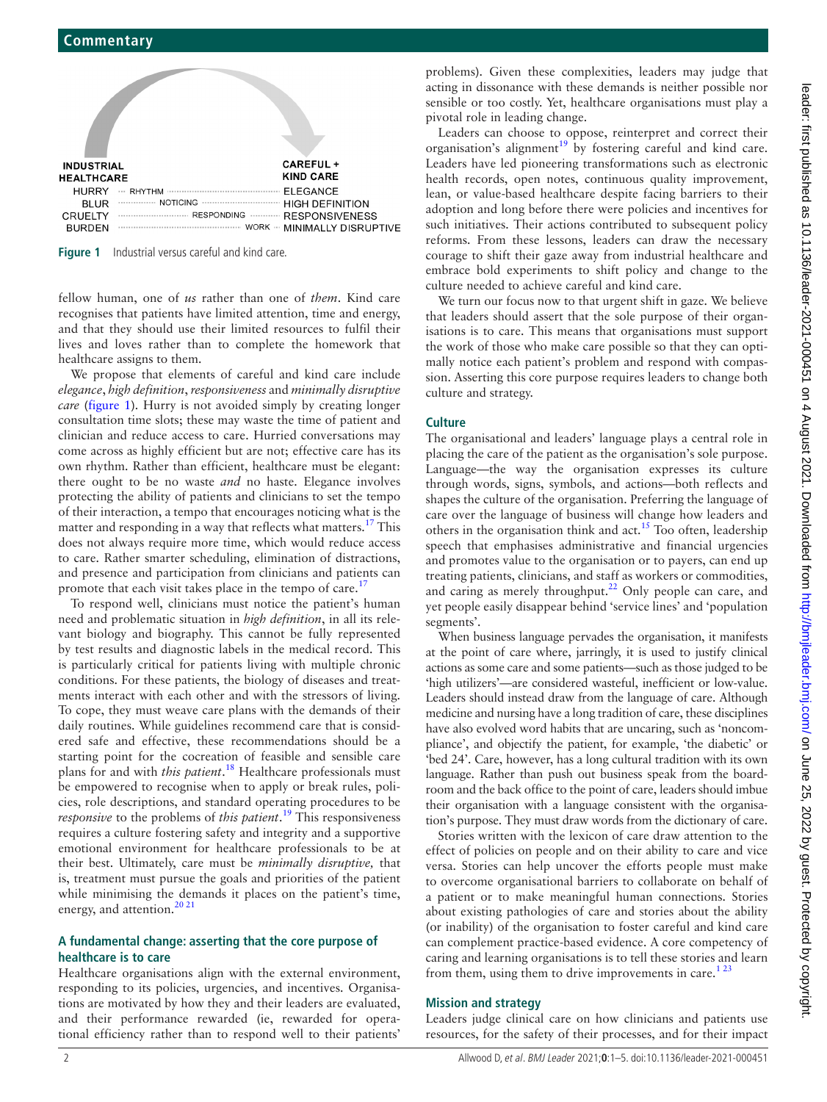

<span id="page-1-0"></span>**Figure 1** Industrial versus careful and kind care.

fellow human, one of *us* rather than one of *them*. Kind care recognises that patients have limited attention, time and energy, and that they should use their limited resources to fulfil their lives and loves rather than to complete the homework that healthcare assigns to them.

We propose that elements of careful and kind care include *elegance*, *high definition*, *responsiveness* and *minimally disruptive care* ([figure](#page-1-0) 1). Hurry is not avoided simply by creating longer consultation time slots; these may waste the time of patient and clinician and reduce access to care. Hurried conversations may come across as highly efficient but are not; effective care has its own rhythm. Rather than efficient, healthcare must be elegant: there ought to be no waste *and* no haste. Elegance involves protecting the ability of patients and clinicians to set the tempo of their interaction, a tempo that encourages noticing what is the matter and responding in a way that reflects what matters.<sup>17</sup> This does not always require more time, which would reduce access to care. Rather smarter scheduling, elimination of distractions, and presence and participation from clinicians and patients can promote that each visit takes place in the tempo of care.<sup>17</sup>

To respond well, clinicians must notice the patient's human need and problematic situation in *high definition*, in all its relevant biology and biography. This cannot be fully represented by test results and diagnostic labels in the medical record. This is particularly critical for patients living with multiple chronic conditions. For these patients, the biology of diseases and treatments interact with each other and with the stressors of living. To cope, they must weave care plans with the demands of their daily routines. While guidelines recommend care that is considered safe and effective, these recommendations should be a starting point for the cocreation of feasible and sensible care plans for and with *this patient*. [18](#page-4-16) Healthcare professionals must be empowered to recognise when to apply or break rules, policies, role descriptions, and standard operating procedures to be *responsive* to the problems of *this patient*. [19](#page-4-17) This responsiveness requires a culture fostering safety and integrity and a supportive emotional environment for healthcare professionals to be at their best. Ultimately, care must be *minimally disruptive,* that is, treatment must pursue the goals and priorities of the patient while minimising the demands it places on the patient's time, energy, and attention.<sup>[20 21](#page-4-18)</sup>

### **A fundamental change: asserting that the core purpose of healthcare is to care**

Healthcare organisations align with the external environment, responding to its policies, urgencies, and incentives. Organisations are motivated by how they and their leaders are evaluated, and their performance rewarded (ie, rewarded for operational efficiency rather than to respond well to their patients'

problems). Given these complexities, leaders may judge that acting in dissonance with these demands is neither possible nor sensible or too costly. Yet, healthcare organisations must play a pivotal role in leading change.

Leaders can choose to oppose, reinterpret and correct their organisation's alignment<sup>[19](#page-4-17)</sup> by fostering careful and kind care. Leaders have led pioneering transformations such as electronic health records, open notes, continuous quality improvement, lean, or value-based healthcare despite facing barriers to their adoption and long before there were policies and incentives for such initiatives. Their actions contributed to subsequent policy reforms. From these lessons, leaders can draw the necessary courage to shift their gaze away from industrial healthcare and embrace bold experiments to shift policy and change to the culture needed to achieve careful and kind care.

We turn our focus now to that urgent shift in gaze. We believe that leaders should assert that the sole purpose of their organisations is to care. This means that organisations must support the work of those who make care possible so that they can optimally notice each patient's problem and respond with compassion. Asserting this core purpose requires leaders to change both culture and strategy.

## **Culture**

The organisational and leaders' language plays a central role in placing the care of the patient as the organisation's sole purpose. Language—the way the organisation expresses its culture through words, signs, symbols, and actions—both reflects and shapes the culture of the organisation. Preferring the language of care over the language of business will change how leaders and others in the organisation think and act.<sup>15</sup> Too often, leadership speech that emphasises administrative and financial urgencies and promotes value to the organisation or to payers, can end up treating patients, clinicians, and staff as workers or commodities, and caring as merely throughput.<sup>22</sup> Only people can care, and yet people easily disappear behind 'service lines' and 'population segments'.

When business language pervades the organisation, it manifests at the point of care where, jarringly, it is used to justify clinical actions as some care and some patients—such as those judged to be 'high utilizers'—are considered wasteful, inefficient or low-value. Leaders should instead draw from the language of care. Although medicine and nursing have a long tradition of care, these disciplines have also evolved word habits that are uncaring, such as 'noncompliance', and objectify the patient, for example, 'the diabetic' or 'bed 24'. Care, however, has a long cultural tradition with its own language. Rather than push out business speak from the boardroom and the back office to the point of care, leaders should imbue their organisation with a language consistent with the organisation's purpose. They must draw words from the dictionary of care.

Stories written with the lexicon of care draw attention to the effect of policies on people and on their ability to care and vice versa. Stories can help uncover the efforts people must make to overcome organisational barriers to collaborate on behalf of a patient or to make meaningful human connections. Stories about existing pathologies of care and stories about the ability (or inability) of the organisation to foster careful and kind care can complement practice-based evidence. A core competency of caring and learning organisations is to tell these stories and learn from them, using them to drive improvements in care.<sup>123</sup>

## **Mission and strategy**

Leaders judge clinical care on how clinicians and patients use resources, for the safety of their processes, and for their impact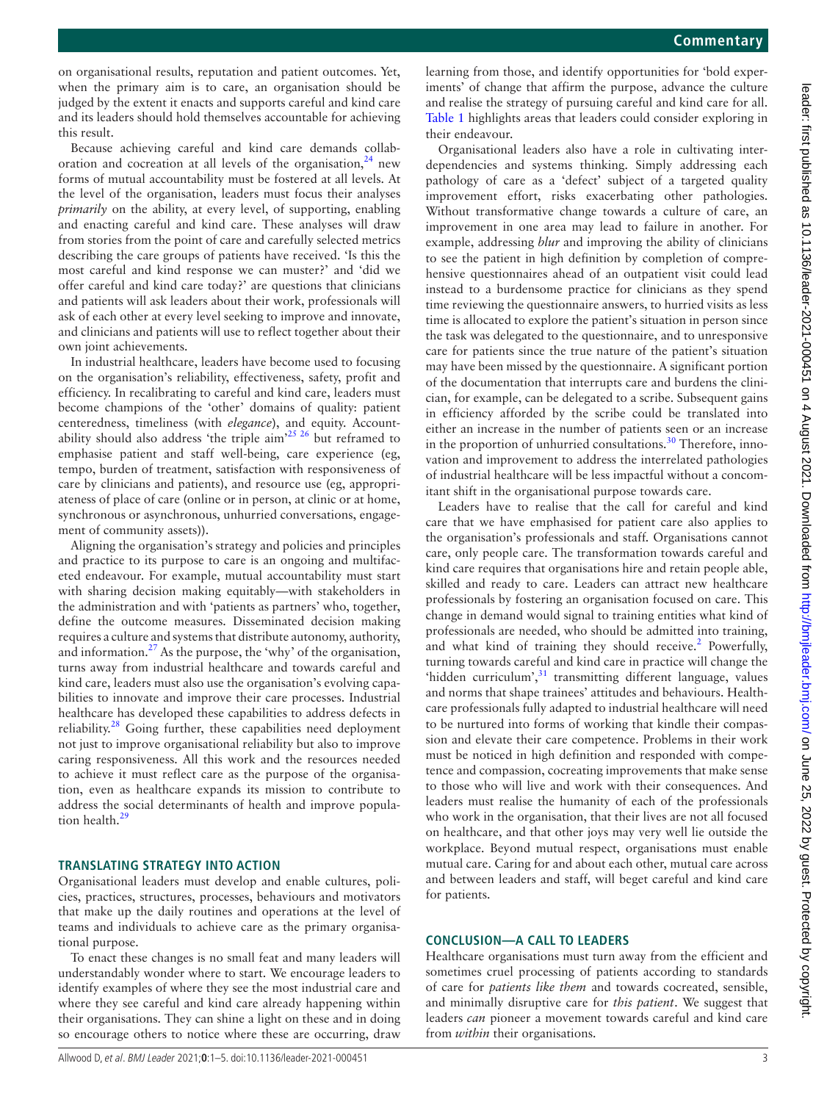on organisational results, reputation and patient outcomes. Yet, when the primary aim is to care, an organisation should be judged by the extent it enacts and supports careful and kind care and its leaders should hold themselves accountable for achieving this result.

Because achieving careful and kind care demands collaboration and cocreation at all levels of the organisation, $24$  new forms of mutual accountability must be fostered at all levels. At the level of the organisation, leaders must focus their analyses *primarily* on the ability, at every level, of supporting, enabling and enacting careful and kind care. These analyses will draw from stories from the point of care and carefully selected metrics describing the care groups of patients have received. 'Is this the most careful and kind response we can muster?' and 'did we offer careful and kind care today?' are questions that clinicians and patients will ask leaders about their work, professionals will ask of each other at every level seeking to improve and innovate, and clinicians and patients will use to reflect together about their own joint achievements.

In industrial healthcare, leaders have become used to focusing on the organisation's reliability, effectiveness, safety, profit and efficiency. In recalibrating to careful and kind care, leaders must become champions of the 'other' domains of quality: patient centeredness, timeliness (with *elegance*), and equity. Accountability should also address 'the triple aim'[25 26](#page-4-21) but reframed to emphasise patient and staff well-being, care experience (eg, tempo, burden of treatment, satisfaction with responsiveness of care by clinicians and patients), and resource use (eg, appropriateness of place of care (online or in person, at clinic or at home, synchronous or asynchronous, unhurried conversations, engagement of community assets)).

Aligning the organisation's strategy and policies and principles and practice to its purpose to care is an ongoing and multifaceted endeavour. For example, mutual accountability must start with sharing decision making equitably—with stakeholders in the administration and with 'patients as partners' who, together, define the outcome measures. Disseminated decision making requires a culture and systems that distribute autonomy, authority, and information.[27](#page-4-22) As the purpose, the 'why' of the organisation, turns away from industrial healthcare and towards careful and kind care, leaders must also use the organisation's evolving capabilities to innovate and improve their care processes. Industrial healthcare has developed these capabilities to address defects in reliability. $^{28}$  Going further, these capabilities need deployment not just to improve organisational reliability but also to improve caring responsiveness. All this work and the resources needed to achieve it must reflect care as the purpose of the organisation, even as healthcare expands its mission to contribute to address the social determinants of health and improve popula-tion health.<sup>[29](#page-4-24)</sup>

## **TRANSLATING STRATEGY INTO ACTION**

Organisational leaders must develop and enable cultures, policies, practices, structures, processes, behaviours and motivators that make up the daily routines and operations at the level of teams and individuals to achieve care as the primary organisational purpose.

To enact these changes is no small feat and many leaders will understandably wonder where to start. We encourage leaders to identify examples of where they see the most industrial care and where they see careful and kind care already happening within their organisations. They can shine a light on these and in doing so encourage others to notice where these are occurring, draw

learning from those, and identify opportunities for 'bold experiments' of change that affirm the purpose, advance the culture and realise the strategy of pursuing careful and kind care for all. [Table](#page-3-0) 1 highlights areas that leaders could consider exploring in their endeavour.

Organisational leaders also have a role in cultivating interdependencies and systems thinking. Simply addressing each pathology of care as a 'defect' subject of a targeted quality improvement effort, risks exacerbating other pathologies. Without transformative change towards a culture of care, an improvement in one area may lead to failure in another. For example, addressing *blur* and improving the ability of clinicians to see the patient in high definition by completion of comprehensive questionnaires ahead of an outpatient visit could lead instead to a burdensome practice for clinicians as they spend time reviewing the questionnaire answers, to hurried visits as less time is allocated to explore the patient's situation in person since the task was delegated to the questionnaire, and to unresponsive care for patients since the true nature of the patient's situation may have been missed by the questionnaire. A significant portion of the documentation that interrupts care and burdens the clinician, for example, can be delegated to a scribe. Subsequent gains in efficiency afforded by the scribe could be translated into either an increase in the number of patients seen or an increase in the proportion of unhurried consultations.<sup>[30](#page-4-25)</sup> Therefore, innovation and improvement to address the interrelated pathologies of industrial healthcare will be less impactful without a concomitant shift in the organisational purpose towards care.

Leaders have to realise that the call for careful and kind care that we have emphasised for patient care also applies to the organisation's professionals and staff. Organisations cannot care, only people care. The transformation towards careful and kind care requires that organisations hire and retain people able, skilled and ready to care. Leaders can attract new healthcare professionals by fostering an organisation focused on care. This change in demand would signal to training entities what kind of professionals are needed, who should be admitted into training, and what kind of training they should receive.<sup>2</sup> Powerfully, turning towards careful and kind care in practice will change the 'hidden curriculum',<sup>[31](#page-4-26)</sup> transmitting different language, values and norms that shape trainees' attitudes and behaviours. Healthcare professionals fully adapted to industrial healthcare will need to be nurtured into forms of working that kindle their compassion and elevate their care competence. Problems in their work must be noticed in high definition and responded with competence and compassion, cocreating improvements that make sense to those who will live and work with their consequences. And leaders must realise the humanity of each of the professionals who work in the organisation, that their lives are not all focused on healthcare, and that other joys may very well lie outside the workplace. Beyond mutual respect, organisations must enable mutual care. Caring for and about each other, mutual care across and between leaders and staff, will beget careful and kind care for patients.

#### **CONCLUSION—A CALL TO LEADERS**

Healthcare organisations must turn away from the efficient and sometimes cruel processing of patients according to standards of care for *patients like them* and towards cocreated, sensible, and minimally disruptive care for *this patient*. We suggest that leaders *can* pioneer a movement towards careful and kind care from *within* their organisations.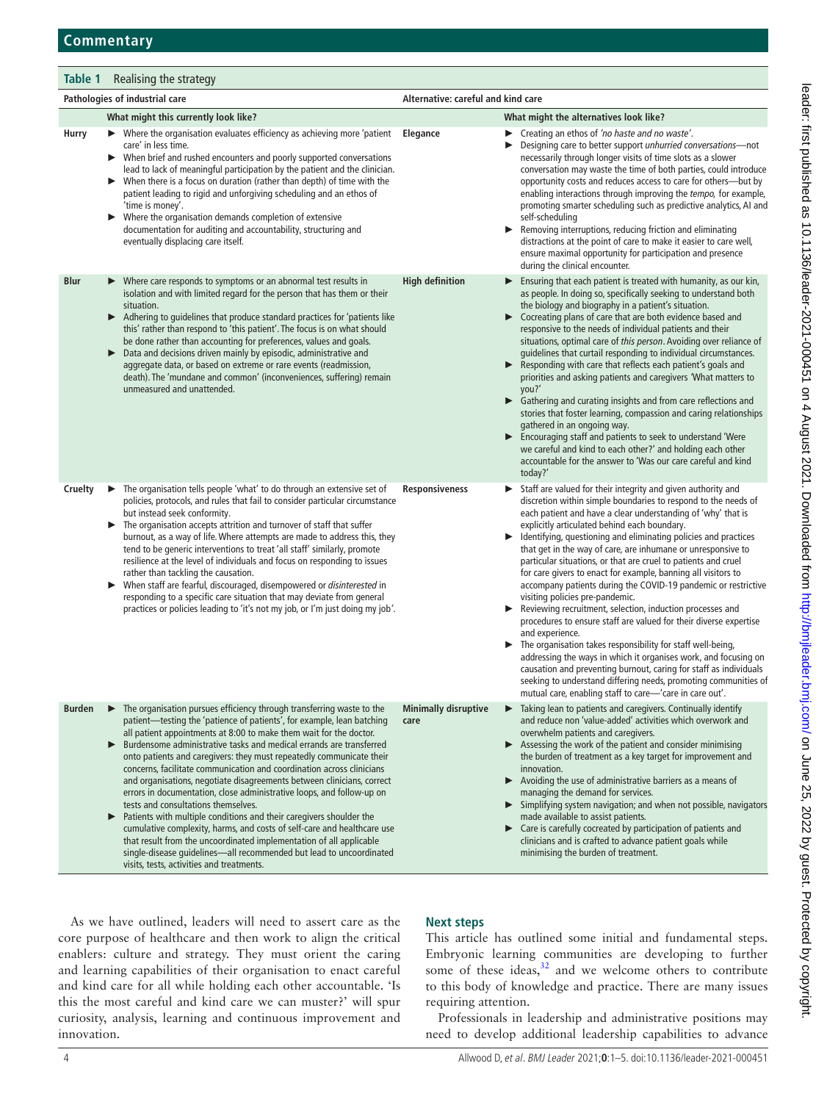<span id="page-3-0"></span>

| Table 1<br>Realising the strategy |                                                                                                                                                                                                                                                                                                                                                                                                                                                                                                                                                                                                                                                                                                                                                                                                                                                                            |                                               |                                                                                                                                                                                                                                                                                                                                                                                                                                                                                                                                                                                                                                                                                                                                                                                                                                                                                                                                                                                                                                                                                                                     |
|-----------------------------------|----------------------------------------------------------------------------------------------------------------------------------------------------------------------------------------------------------------------------------------------------------------------------------------------------------------------------------------------------------------------------------------------------------------------------------------------------------------------------------------------------------------------------------------------------------------------------------------------------------------------------------------------------------------------------------------------------------------------------------------------------------------------------------------------------------------------------------------------------------------------------|-----------------------------------------------|---------------------------------------------------------------------------------------------------------------------------------------------------------------------------------------------------------------------------------------------------------------------------------------------------------------------------------------------------------------------------------------------------------------------------------------------------------------------------------------------------------------------------------------------------------------------------------------------------------------------------------------------------------------------------------------------------------------------------------------------------------------------------------------------------------------------------------------------------------------------------------------------------------------------------------------------------------------------------------------------------------------------------------------------------------------------------------------------------------------------|
| Pathologies of industrial care    |                                                                                                                                                                                                                                                                                                                                                                                                                                                                                                                                                                                                                                                                                                                                                                                                                                                                            | Alternative: careful and kind care            |                                                                                                                                                                                                                                                                                                                                                                                                                                                                                                                                                                                                                                                                                                                                                                                                                                                                                                                                                                                                                                                                                                                     |
|                                   | What might this currently look like?                                                                                                                                                                                                                                                                                                                                                                                                                                                                                                                                                                                                                                                                                                                                                                                                                                       |                                               | What might the alternatives look like?                                                                                                                                                                                                                                                                                                                                                                                                                                                                                                                                                                                                                                                                                                                                                                                                                                                                                                                                                                                                                                                                              |
| Hurry                             | Where the organisation evaluates efficiency as achieving more 'patient<br>▶<br>care' in less time.<br>When brief and rushed encounters and poorly supported conversations<br>▶<br>lead to lack of meaningful participation by the patient and the clinician.<br>When there is a focus on duration (rather than depth) of time with the<br>▶<br>patient leading to rigid and unforgiving scheduling and an ethos of<br>'time is money'.<br>Where the organisation demands completion of extensive<br>▶<br>documentation for auditing and accountability, structuring and<br>eventually displacing care itself.                                                                                                                                                                                                                                                              | Elegance<br>▶                                 | Creating an ethos of 'no haste and no waste'.<br>▶.<br>Designing care to better support unhurried conversations-not<br>necessarily through longer visits of time slots as a slower<br>conversation may waste the time of both parties, could introduce<br>opportunity costs and reduces access to care for others-but by<br>enabling interactions through improving the tempo, for example,<br>promoting smarter scheduling such as predictive analytics, AI and<br>self-scheduling<br>Removing interruptions, reducing friction and eliminating<br>distractions at the point of care to make it easier to care well,<br>ensure maximal opportunity for participation and presence<br>during the clinical encounter.                                                                                                                                                                                                                                                                                                                                                                                                |
| <b>Blur</b>                       | Where care responds to symptoms or an abnormal test results in<br>isolation and with limited regard for the person that has them or their<br>situation.<br>Adhering to guidelines that produce standard practices for 'patients like<br>this' rather than respond to 'this patient'. The focus is on what should<br>be done rather than accounting for preferences, values and goals.<br>Data and decisions driven mainly by episodic, administrative and<br>▶<br>aggregate data, or based on extreme or rare events (readmission,<br>death). The 'mundane and common' (inconveniences, suffering) remain<br>unmeasured and unattended.                                                                                                                                                                                                                                    | <b>High definition</b><br>▶                   | Ensuring that each patient is treated with humanity, as our kin,<br>as people. In doing so, specifically seeking to understand both<br>the biology and biography in a patient's situation.<br>▶ Cocreating plans of care that are both evidence based and<br>responsive to the needs of individual patients and their<br>situations, optimal care of this person. Avoiding over reliance of<br>guidelines that curtail responding to individual circumstances.<br>Responding with care that reflects each patient's goals and<br>priorities and asking patients and caregivers 'What matters to<br>vou?'<br>• Gathering and curating insights and from care reflections and<br>stories that foster learning, compassion and caring relationships<br>gathered in an ongoing way.<br>Encouraging staff and patients to seek to understand 'Were<br>we careful and kind to each other?' and holding each other<br>accountable for the answer to 'Was our care careful and kind<br>today?'                                                                                                                              |
| Cruelty                           | The organisation tells people 'what' to do through an extensive set of<br>▶<br>policies, protocols, and rules that fail to consider particular circumstance<br>but instead seek conformity.<br>The organisation accepts attrition and turnover of staff that suffer<br>burnout, as a way of life. Where attempts are made to address this, they<br>tend to be generic interventions to treat 'all staff' similarly, promote<br>resilience at the level of individuals and focus on responding to issues<br>rather than tackling the causation.<br>When staff are fearful, discouraged, disempowered or disinterested in<br>▶<br>responding to a specific care situation that may deviate from general<br>practices or policies leading to 'it's not my job, or I'm just doing my job'.                                                                                     | <b>Responsiveness</b><br>▶<br>▶               | Staff are valued for their integrity and given authority and<br>discretion within simple boundaries to respond to the needs of<br>each patient and have a clear understanding of 'why' that is<br>explicitly articulated behind each boundary.<br>Identifying, questioning and eliminating policies and practices<br>that get in the way of care, are inhumane or unresponsive to<br>particular situations, or that are cruel to patients and cruel<br>for care givers to enact for example, banning all visitors to<br>accompany patients during the COVID-19 pandemic or restrictive<br>visiting policies pre-pandemic.<br>Reviewing recruitment, selection, induction processes and<br>procedures to ensure staff are valued for their diverse expertise<br>and experience.<br>The organisation takes responsibility for staff well-being,<br>addressing the ways in which it organises work, and focusing on<br>causation and preventing burnout, caring for staff as individuals<br>seeking to understand differing needs, promoting communities of<br>mutual care, enabling staff to care—'care in care out'. |
| <b>Burden</b>                     | The organisation pursues efficiency through transferring waste to the<br>patient-testing the 'patience of patients', for example, lean batching<br>all patient appointments at 8:00 to make them wait for the doctor.<br>Burdensome administrative tasks and medical errands are transferred<br>▶<br>onto patients and caregivers: they must repeatedly communicate their<br>concerns, facilitate communication and coordination across clinicians<br>and organisations, negotiate disagreements between clinicians, correct<br>errors in documentation, close administrative loops, and follow-up on<br>tests and consultations themselves.<br>Patients with multiple conditions and their caregivers shoulder the<br>▶<br>cumulative complexity, harms, and costs of self-care and healthcare use<br>that result from the uncoordinated implementation of all applicable | <b>Minimally disruptive</b><br>care<br>▶<br>▶ | Taking lean to patients and caregivers. Continually identify<br>and reduce non 'value-added' activities which overwork and<br>overwhelm patients and caregivers.<br>Assessing the work of the patient and consider minimising<br>the burden of treatment as a key target for improvement and<br>innovation.<br>> Avoiding the use of administrative barriers as a means of<br>managing the demand for services.<br>Simplifying system navigation; and when not possible, navigators<br>made available to assist patients.<br>Care is carefully cocreated by participation of patients and<br>clinicians and is crafted to advance patient goals while                                                                                                                                                                                                                                                                                                                                                                                                                                                               |

As we have outlined, leaders will need to assert care as the core purpose of healthcare and then work to align the critical enablers: culture and strategy. They must orient the caring and learning capabilities of their organisation to enact careful and kind care for all while holding each other accountable. 'Is this the most careful and kind care we can muster?' will spur curiosity, analysis, learning and continuous improvement and innovation.

visits, tests, activities and treatments.

single-disease guidelines—all recommended but lead to uncoordinated

## **Next steps**

This article has outlined some initial and fundamental steps. Embryonic learning communities are developing to further some of these ideas, $32$  and we welcome others to contribute to this body of knowledge and practice. There are many issues requiring attention.

minimising the burden of treatment.

Professionals in leadership and administrative positions may need to develop additional leadership capabilities to advance